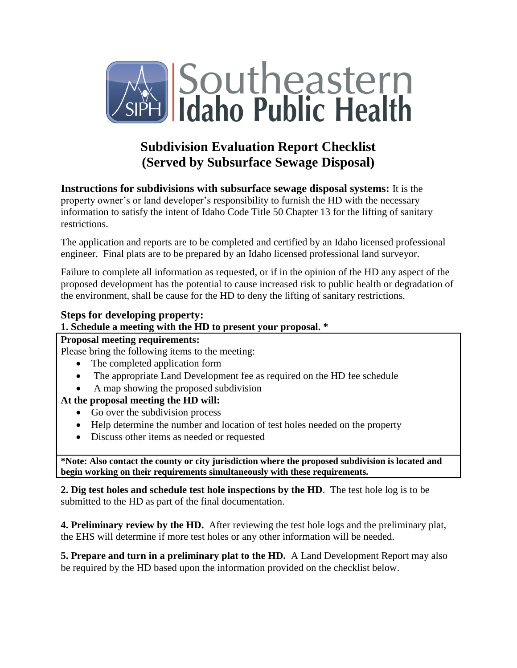

# **Subdivision Evaluation Report Checklist (Served by Subsurface Sewage Disposal)**

**Instructions for subdivisions with subsurface sewage disposal systems:** It is the property owner's or land developer's responsibility to furnish the HD with the necessary information to satisfy the intent of Idaho Code Title 50 Chapter 13 for the lifting of sanitary restrictions.

The application and reports are to be completed and certified by an Idaho licensed professional engineer. Final plats are to be prepared by an Idaho licensed professional land surveyor.

Failure to complete all information as requested, or if in the opinion of the HD any aspect of the proposed development has the potential to cause increased risk to public health or degradation of the environment, shall be cause for the HD to deny the lifting of sanitary restrictions.

## **Steps for developing property:**

## **1. Schedule a meeting with the HD to present your proposal. \***

#### **Proposal meeting requirements:**

Please bring the following items to the meeting:

- The completed application form
- The appropriate Land Development fee as required on the HD fee schedule
- A map showing the proposed subdivision

## **At the proposal meeting the HD will:**

- Go over the subdivision process
- Help determine the number and location of test holes needed on the property
- Discuss other items as needed or requested

**\*Note: Also contact the county or city jurisdiction where the proposed subdivision is located and begin working on their requirements simultaneously with these requirements.** 

**2. Dig test holes and schedule test hole inspections by the HD**. The test hole log is to be submitted to the HD as part of the final documentation.

**4. Preliminary review by the HD.** After reviewing the test hole logs and the preliminary plat, the EHS will determine if more test holes or any other information will be needed.

**5. Prepare and turn in a preliminary plat to the HD.**A Land Development Report may also be required by the HD based upon the information provided on the checklist below.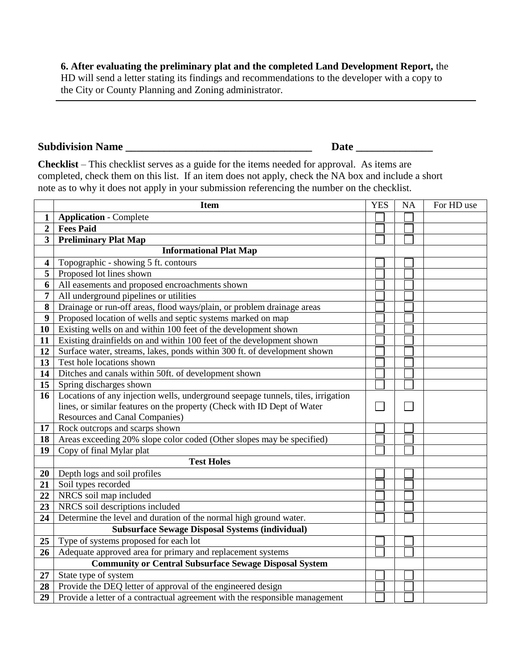### **6. After evaluating the preliminary plat and the completed Land Development Report,** the

HD will send a letter stating its findings and recommendations to the developer with a copy to the City or County Planning and Zoning administrator.

### **Subdivision Name \_\_\_\_\_\_\_\_\_\_\_\_\_\_\_\_\_\_\_\_\_\_\_\_\_\_\_\_\_\_\_\_\_\_ Date \_\_\_\_\_\_\_\_\_\_\_\_\_\_**

**Checklist** – This checklist serves as a guide for the items needed for approval. As items are completed, check them on this list. If an item does not apply, check the NA box and include a short note as to why it does not apply in your submission referencing the number on the checklist.

|                         | <b>Item</b>                                                                      | <b>YES</b> | <b>NA</b> | For HD use |
|-------------------------|----------------------------------------------------------------------------------|------------|-----------|------------|
| 1                       | <b>Application - Complete</b>                                                    |            |           |            |
| $\overline{2}$          | <b>Fees Paid</b>                                                                 |            |           |            |
| $\overline{\mathbf{3}}$ | <b>Preliminary Plat Map</b>                                                      |            |           |            |
|                         | <b>Informational Plat Map</b>                                                    |            |           |            |
| $\overline{\mathbf{4}}$ | Topographic - showing 5 ft. contours                                             |            |           |            |
| 5                       | Proposed lot lines shown                                                         |            |           |            |
| 6                       | All easements and proposed encroachments shown                                   |            |           |            |
| $\overline{7}$          | All underground pipelines or utilities                                           |            |           |            |
| 8                       | Drainage or run-off areas, flood ways/plain, or problem drainage areas           |            |           |            |
| 9                       | Proposed location of wells and septic systems marked on map                      |            |           |            |
| 10                      | Existing wells on and within 100 feet of the development shown                   |            |           |            |
| 11                      | Existing drainfields on and within 100 feet of the development shown             |            |           |            |
| 12                      | Surface water, streams, lakes, ponds within 300 ft. of development shown         |            |           |            |
| 13                      | Test hole locations shown                                                        |            |           |            |
| 14                      | Ditches and canals within 50ft. of development shown                             |            |           |            |
| 15                      | Spring discharges shown                                                          |            |           |            |
| 16                      | Locations of any injection wells, underground seepage tunnels, tiles, irrigation |            |           |            |
|                         | lines, or similar features on the property (Check with ID Dept of Water          |            |           |            |
|                         | Resources and Canal Companies)                                                   |            |           |            |
| 17                      | Rock outcrops and scarps shown                                                   |            |           |            |
| 18                      | Areas exceeding 20% slope color coded (Other slopes may be specified)            |            |           |            |
| 19                      | Copy of final Mylar plat                                                         |            |           |            |
|                         | <b>Test Holes</b>                                                                |            |           |            |
| 20                      | Depth logs and soil profiles                                                     |            |           |            |
| 21                      | Soil types recorded                                                              |            |           |            |
| 22                      | NRCS soil map included                                                           |            |           |            |
| 23                      | NRCS soil descriptions included                                                  |            |           |            |
| 24                      | Determine the level and duration of the normal high ground water.                |            |           |            |
|                         | <b>Subsurface Sewage Disposal Systems (individual)</b>                           |            |           |            |
| 25                      | Type of systems proposed for each lot                                            |            |           |            |
| 26                      | Adequate approved area for primary and replacement systems                       |            |           |            |
|                         | <b>Community or Central Subsurface Sewage Disposal System</b>                    |            |           |            |
| 27                      | State type of system                                                             |            |           |            |
| 28                      | Provide the DEQ letter of approval of the engineered design                      |            |           |            |
| 29                      | Provide a letter of a contractual agreement with the responsible management      |            |           |            |